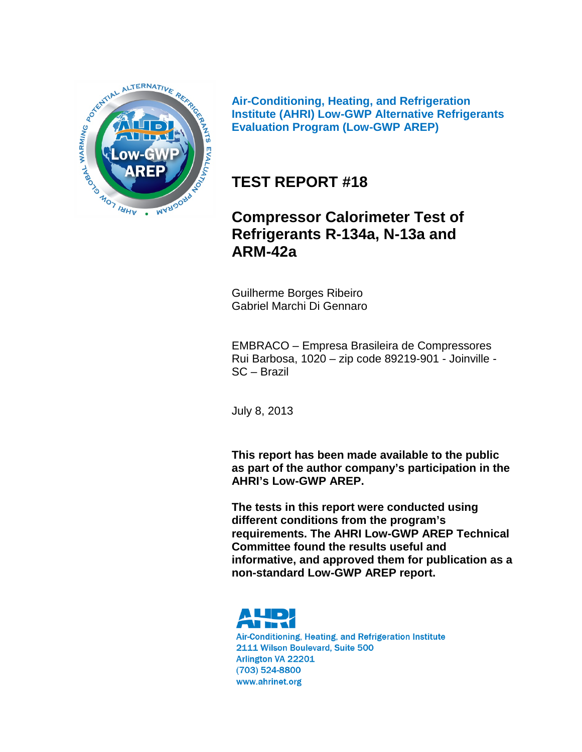

**Air-Conditioning, Heating, and Refrigeration Institute (AHRI) Low-GWP Alternative Refrigerants Evaluation Program (Low-GWP AREP)**

# **TEST REPORT #18**

# **Compressor Calorimeter Test of Refrigerants R-134a, N-13a and ARM-42a**

Guilherme Borges Ribeiro Gabriel Marchi Di Gennaro

EMBRACO – Empresa Brasileira de Compressores Rui Barbosa, 1020 – zip code 89219-901 - Joinville - SC – Brazil

July 8, 2013

**This report has been made available to the public as part of the author company's participation in the AHRI's Low-GWP AREP.**

**The tests in this report were conducted using different conditions from the program's requirements. The AHRI Low-GWP AREP Technical Committee found the results useful and informative, and approved them for publication as a non-standard Low-GWP AREP report.** 



Air-Conditioning, Heating, and Refrigeration Institute 2111 Wilson Boulevard, Suite 500 Arlington VA 22201 (703) 524-8800 www.ahrinet.org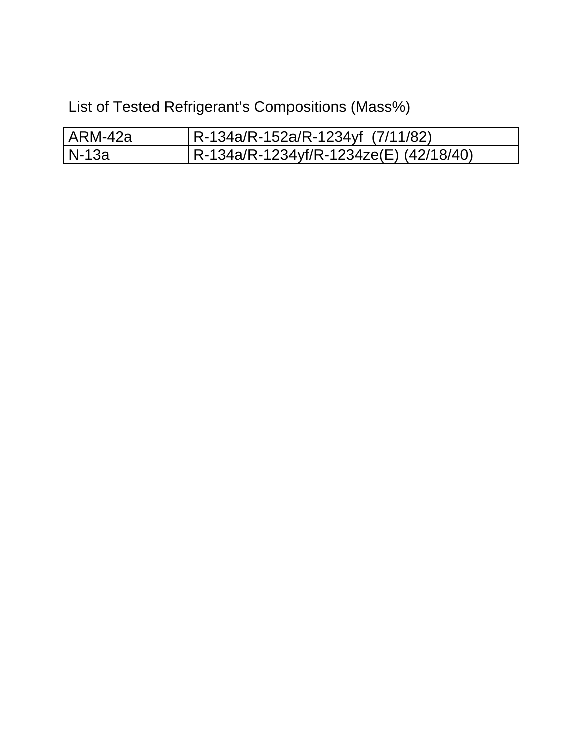List of Tested Refrigerant's Compositions (Mass%)

| l ARM-42a | $ R-134a/R-152a/R-1234yf (7/11/82) $   |
|-----------|----------------------------------------|
| l N-13a   | R-134a/R-1234yf/R-1234ze(E) (42/18/40) |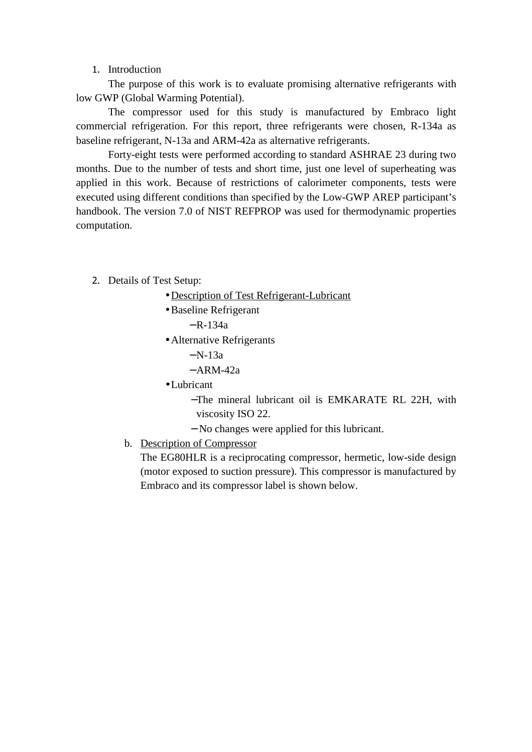#### 1. Introduction

The purpose of this work is to evaluate promising alternative refrigerants with low GWP (Global Warming Potential).

The compressor used for this study is manufactured by Embraco light commercial refrigeration. For this report, three refrigerants were chosen, R-134a as baseline refrigerant, N-13a and ARM-42a as alternative refrigerants.

Forty-eight tests were performed according to standard ASHRAE 23 during two months. Due to the number of tests and short time, just one level of superheating was applied in this work. Because of restrictions of calorimeter components, tests were executed using different conditions than specified by the Low-GWP AREP participant's handbook. The version 7.0 of NIST REFPROP was used for thermodynamic properties computation.

- 2. Details of Test Setup:
	- Description of Test Refrigerant-Lubricant
	- •Baseline Refrigerant

 $- R - 134a$ 

- Alternative Refrigerants
	- $N-13a$
	- $-$  ARM-42a
- •Lubricant
	- −The mineral lubricant oil is EMKARATE RL 22H, with viscosity ISO 22.
	- − No changes were applied for this lubricant.
- b. Description of Compressor

The EG80HLR is a reciprocating compressor, hermetic, low-side design (motor exposed to suction pressure). This compressor is manufactured by Embraco and its compressor label is shown below.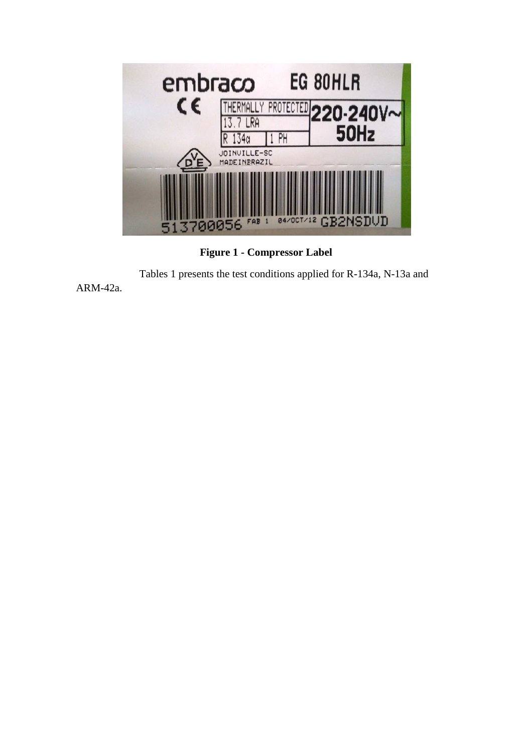

**Figure 1 - Compressor Label** 

Tables 1 presents the test conditions applied for R-134a, N-13a and

ARM-42a.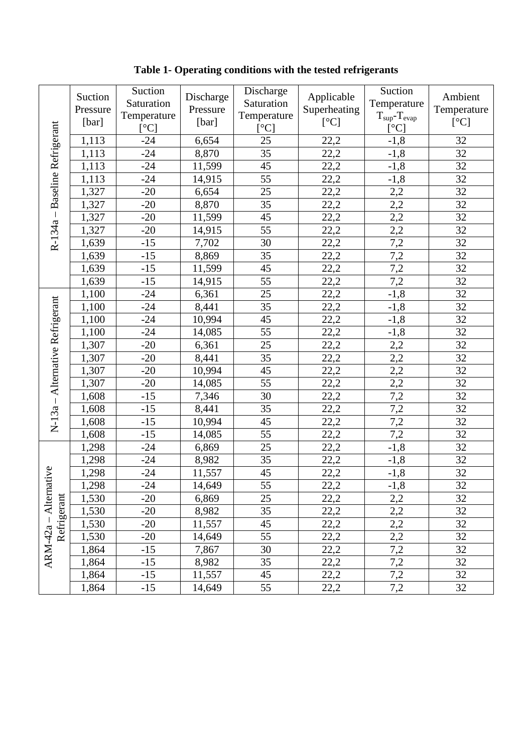**Table 1- Operating conditions with the tested refrigerants** 

|                                                | Suction<br>Pressure<br>[bar] | Suction<br>Saturation<br>Temperature<br>[°C] | Discharge<br>Pressure<br>[bar] | Discharge<br>Saturation<br>Temperature<br>[°C] | Applicable<br>Superheating<br>[°C] | Suction<br>Temperature<br>$T_{\text{sup}}-T_{\text{evap}}$<br>$\lceil$ <sup>o</sup> Cl | Ambient<br>Temperature<br>[°C] |
|------------------------------------------------|------------------------------|----------------------------------------------|--------------------------------|------------------------------------------------|------------------------------------|----------------------------------------------------------------------------------------|--------------------------------|
|                                                | 1,113                        | $-24$                                        | 6,654                          | 25                                             | 22,2                               | $-1,8$                                                                                 | 32                             |
|                                                | 1,113                        | $-24$                                        | 8,870                          | 35                                             | 22,2                               | $-1,8$                                                                                 | 32                             |
|                                                | 1,113                        | $-24$                                        | 11,599                         | 45                                             | 22,2                               | $-1,8$                                                                                 | 32                             |
| Baseline Refrigerant                           | 1,113                        | $-24$                                        | 14,915                         | 55                                             | 22,2                               | $-1,8$                                                                                 | 32                             |
|                                                | 1,327                        | $-20$                                        | 6,654                          | 25                                             | 22,2                               | 2,2                                                                                    | 32                             |
|                                                | 1,327                        | $-20$                                        | 8,870                          | 35                                             | 22,2                               | 2,2                                                                                    | 32                             |
| $\mathbf{I}% _{0}\left( \mathbf{I}_{1}\right)$ | 1,327                        | $-20$                                        | 11,599                         | 45                                             | 22,2                               | 2,2                                                                                    | 32                             |
|                                                | 1,327                        | $-20$                                        | 14,915                         | 55                                             | 22,2                               | $2,\overline{2}$                                                                       | 32                             |
| R-134a                                         | 1,639                        | $-15$                                        | 7,702                          | 30                                             | 22,2                               | 7,2                                                                                    | 32                             |
|                                                | 1,639                        | $-15$                                        | 8,869                          | 35                                             | 22,2                               | 7,2                                                                                    | 32                             |
|                                                | 1,639                        | $-15$                                        | 11,599                         | 45                                             | 22,2                               | 7,2                                                                                    | 32                             |
|                                                | 1,639                        | $-15$                                        | 14,915                         | 55                                             | 22,2                               | 7,2                                                                                    | 32                             |
|                                                | 1,100                        | $-24$                                        | 6,361                          | 25                                             | 22,2                               | $-1,8$                                                                                 | 32                             |
|                                                | 1,100                        | $-24$                                        | 8,441                          | 35                                             | 22,2                               | $-1,8$                                                                                 | 32                             |
| Alternative Refrigerant                        | 1,100                        | $-24$                                        | 10,994                         | 45                                             | 22,2                               | $-1,8$                                                                                 | 32                             |
|                                                | 1,100                        | $-24$                                        | 14,085                         | 55                                             | 22,2                               | $-1,8$                                                                                 | 32                             |
|                                                | 1,307                        | $-20$                                        | 6,361                          | 25                                             | 22,2                               | 2,2                                                                                    | 32                             |
|                                                | 1,307                        | $-20$                                        | 8,441                          | 35                                             | 22,2                               | 2,2                                                                                    | 32                             |
|                                                | 1,307                        | $-20$                                        | 10,994                         | 45                                             | 22,2                               | 2,2                                                                                    | 32                             |
|                                                | 1,307                        | $-20$                                        | 14,085                         | 55                                             | 22,2                               | 2,2                                                                                    | 32                             |
| $\mathbf{I}$                                   | 1,608                        | $-15$                                        | 7,346                          | 30                                             | 22,2                               | 7,2                                                                                    | 32                             |
|                                                | 1,608                        | $-15$                                        | 8,441                          | 35                                             | 22,2                               | 7,2                                                                                    | 32                             |
| $N-13a$                                        | 1,608                        | $-15$                                        | 10,994                         | 45                                             | 22,2                               | 7,2                                                                                    | 32                             |
|                                                | 1,608                        | $-15$                                        | 14,085                         | 55                                             | 22,2                               | 7,2                                                                                    | 32                             |
|                                                | 1,298                        | $-24$                                        | 6,869                          | 25                                             | 22,2                               | $-1,8$                                                                                 | 32                             |
|                                                | 1,298                        | $-24$                                        | 8,982                          | 35                                             | 22,2                               | $-1,8$                                                                                 | 32                             |
| tive                                           | 1,298                        | $-24$                                        | 11,557                         | 45                                             | 22,2                               | $-1,8$                                                                                 | 32                             |
|                                                | 1,298                        | $-24$                                        | 14,649                         | 55                                             | 22,2                               | $-1,8$                                                                                 | 32                             |
| Alterna                                        | 1,530                        | $-20$                                        | 6,869                          | 25                                             | 22,2                               | 2,2                                                                                    | 32                             |
| Refrigerant                                    | 1,530                        | $-20$                                        | 8,982                          | 35                                             | 22,2                               | 2,2                                                                                    | 32                             |
|                                                | 1,530                        | $-20$                                        | 11,557                         | 45                                             | 22,2                               | 2,2                                                                                    | 32                             |
|                                                | 1,530                        | $-20$                                        | 14,649                         | 55                                             | 22,2                               | 2,2                                                                                    | 32                             |
| ARM-42a                                        | 1,864                        | $-15$                                        | 7,867                          | 30                                             | 22,2                               | 7,2                                                                                    | 32                             |
|                                                | 1,864                        | $-15$                                        | 8,982                          | 35                                             | 22,2                               | 7,2                                                                                    | 32                             |
|                                                | 1,864                        | $-15$                                        | 11,557                         | 45                                             | 22,2                               | 7,2                                                                                    | 32                             |
|                                                | 1,864                        | $-15$                                        | 14,649                         | 55                                             | 22,2                               | 7,2                                                                                    | 32                             |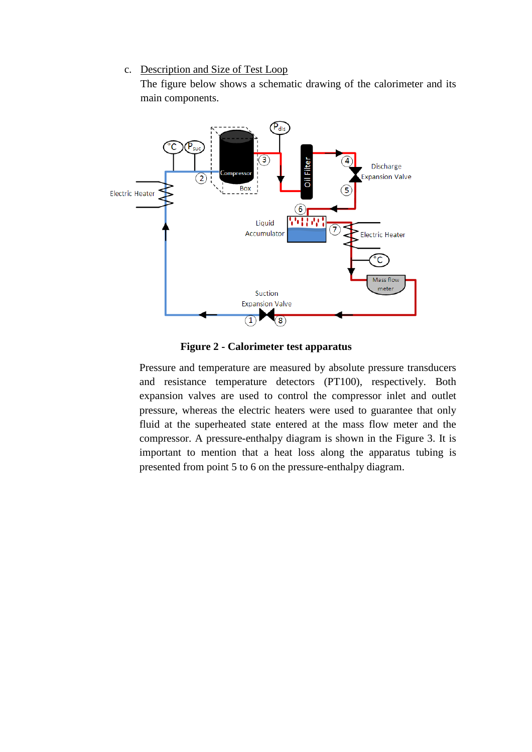### c. Description and Size of Test Loop

The figure below shows a schematic drawing of the calorimeter and its main components.



**Figure 2 - Calorimeter test apparatus** 

Pressure and temperature are measured by absolute pressure transducers and resistance temperature detectors (PT100), respectively. Both expansion valves are used to control the compressor inlet and outlet pressure, whereas the electric heaters were used to guarantee that only fluid at the superheated state entered at the mass flow meter and the compressor. A pressure-enthalpy diagram is shown in the Figure 3. It is important to mention that a heat loss along the apparatus tubing is presented from point 5 to 6 on the pressure-enthalpy diagram.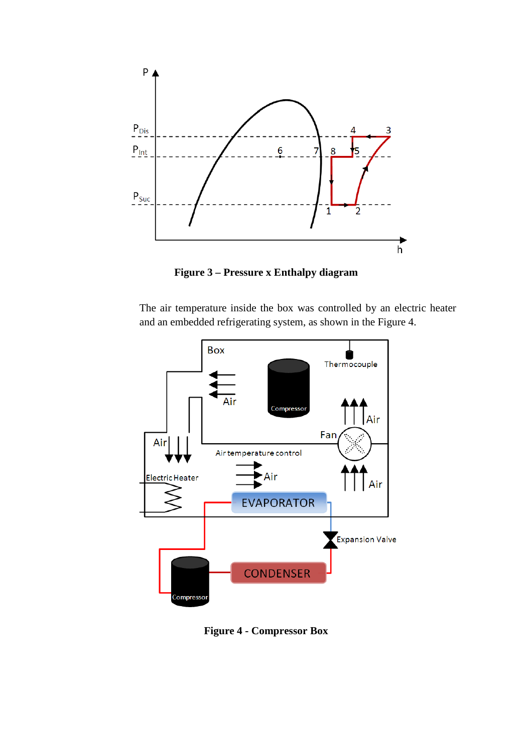

**Figure 3 – Pressure x Enthalpy diagram** 

The air temperature inside the box was controlled by an electric heater and an embedded refrigerating system, as shown in the Figure 4.



**Figure 4 - Compressor Box**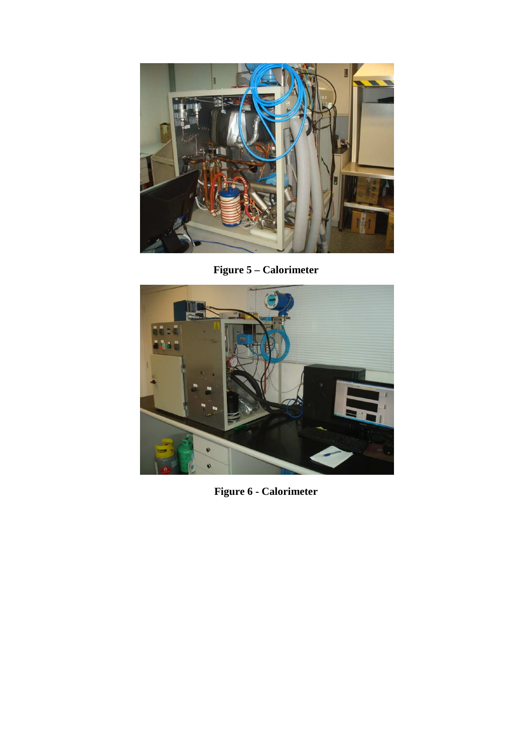

**Figure 5 – Calorimeter** 



**Figure 6 - Calorimeter**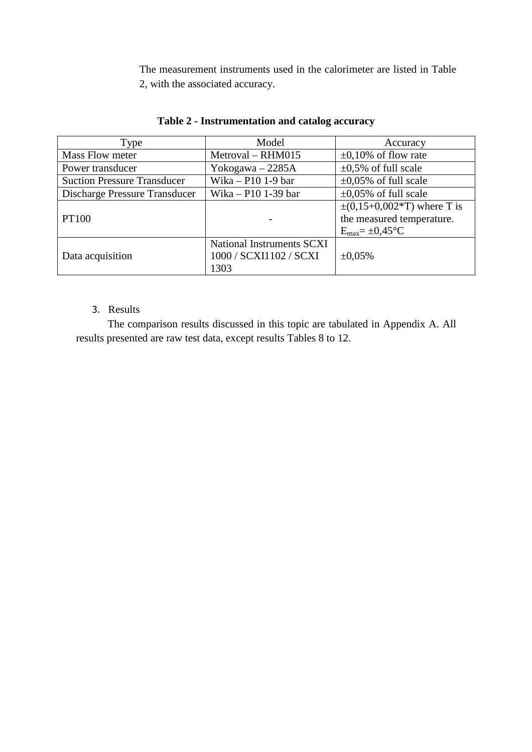The measurement instruments used in the calorimeter are listed in Table 2, with the associated accuracy.

| Type                               | Model                     | Accuracy                                 |
|------------------------------------|---------------------------|------------------------------------------|
| Mass Flow meter                    | Metroval - RHM015         | $\pm 0.10\%$ of flow rate                |
| Power transducer                   | Yokogawa $-2285A$         | $\pm 0.5\%$ of full scale                |
| <b>Suction Pressure Transducer</b> | Wika $- P10$ 1-9 bar      | $\pm 0.05\%$ of full scale               |
| Discharge Pressure Transducer      | Wika – P10 1-39 bar       | $\pm 0.05\%$ of full scale               |
|                                    |                           | $\pm (0.15 + 0.002 \times T)$ where T is |
| <b>PT100</b>                       |                           | the measured temperature.                |
|                                    |                           | $E_{\text{max}} = \pm 0.45$ °C           |
|                                    | National Instruments SCXI |                                          |
| Data acquisition                   | 1000 / SCXI1102 / SCXI    | $\pm 0.05\%$                             |
|                                    | 1303                      |                                          |

### **Table 2 - Instrumentation and catalog accuracy**

### 3. Results

The comparison results discussed in this topic are tabulated in Appendix A. All results presented are raw test data, except results Tables 8 to 12.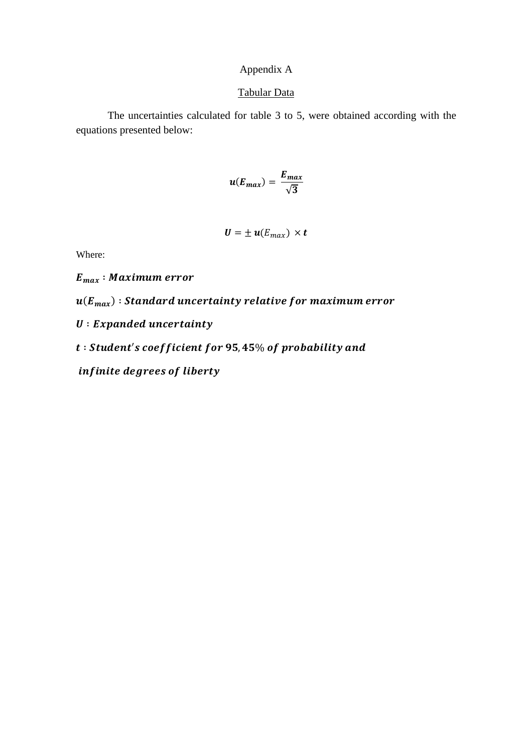# Appendix A

#### Tabular Data

The uncertainties calculated for table 3 to 5, were obtained according with the equations presented below:

$$
u(E_{max})=\frac{E_{max}}{\sqrt{3}}
$$

$$
\boldsymbol{U} = \pm \boldsymbol{u}(E_{max}) \times \boldsymbol{t}
$$

Where:

 $E_{max}$ : Maximum error

 $\bm{u}(\bm{E}_{\bm{max}})$  : Standard uncertainty relative for maximum error

 $U: Expanded$  uncertainty

 $t: Student's coefficient for 95,45\% of probability and$ 

infinite degrees of liberty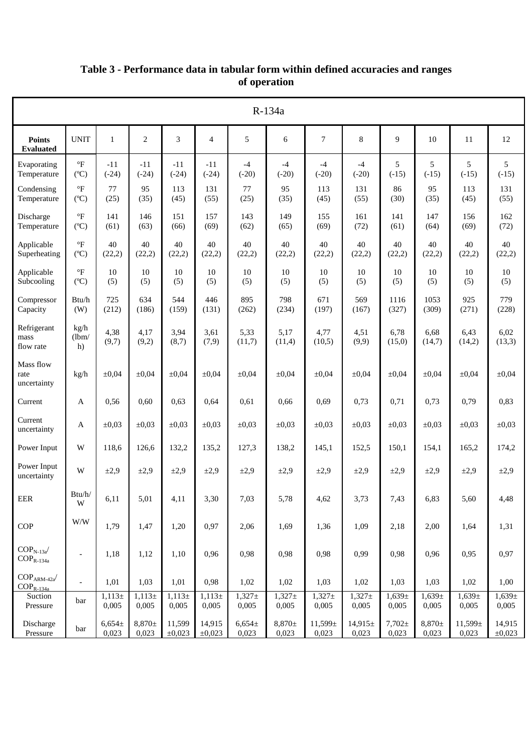|                                                                        | R-134a                                |                     |                      |                     |                       |                      |                      |                      |                       |                      |                      |                     |                       |
|------------------------------------------------------------------------|---------------------------------------|---------------------|----------------------|---------------------|-----------------------|----------------------|----------------------|----------------------|-----------------------|----------------------|----------------------|---------------------|-----------------------|
| <b>Points</b><br><b>Evaluated</b>                                      | <b>UNIT</b>                           | $\mathbf{1}$        | $\overline{2}$       | 3                   | $\overline{4}$        | 5                    | 6                    | 7                    | 8                     | 9                    | 10                   | 11                  | 12                    |
| Evaporating<br>Temperature                                             | $\mathrm{^{\circ}F}$<br>$(^{\circ}C)$ | $-11$<br>$(-24)$    | $-11$<br>$(-24)$     | $-11$<br>$(-24)$    | $-11$<br>$(-24)$      | $-4$<br>$(-20)$      | $-4$<br>$(-20)$      | $-4$<br>$(-20)$      | $-4$<br>$(-20)$       | 5<br>$(-15)$         | 5<br>$(-15)$         | 5<br>$(-15)$        | 5<br>$(-15)$          |
| Condensing<br>Temperature                                              | $\mathrm{P}$<br>$(^{\circ}C)$         | 77<br>(25)          | 95<br>(35)           | 113<br>(45)         | 131<br>(55)           | 77<br>(25)           | 95<br>(35)           | 113<br>(45)          | 131<br>(55)           | 86<br>(30)           | 95<br>(35)           | 113<br>(45)         | 131<br>(55)           |
| Discharge<br>Temperature                                               | $\mathrm{^{\circ}F}$<br>(C)           | 141<br>(61)         | 146<br>(63)          | 151<br>(66)         | 157<br>(69)           | 143<br>(62)          | 149<br>(65)          | 155<br>(69)          | 161<br>(72)           | 141<br>(61)          | 147<br>(64)          | 156<br>(69)         | 162<br>(72)           |
| Applicable<br>Superheating                                             | $\mathrm{P}$<br>(C)                   | 40<br>(22,2)        | 40<br>(22,2)         | 40<br>(22,2)        | 40<br>(22,2)          | 40<br>(22,2)         | 40<br>(22,2)         | 40<br>(22,2)         | 40<br>(22,2)          | 40<br>(22,2)         | 40<br>(22,2)         | 40<br>(22,2)        | 40<br>(22,2)          |
| Applicable<br>Subcooling                                               | $\mathrm{^{\circ}F}$<br>$(^{\circ}C)$ | 10<br>(5)           | 10<br>(5)            | 10<br>(5)           | 10<br>(5)             | 10<br>(5)            | 10<br>(5)            | 10<br>(5)            | 10<br>(5)             | 10<br>(5)            | 10<br>(5)            | 10<br>(5)           | 10<br>(5)             |
| Compressor<br>Capacity                                                 | Btu/h<br>(W)                          | 725<br>(212)        | 634<br>(186)         | 544<br>(159)        | 446<br>(131)          | 895<br>(262)         | 798<br>(234)         | 671<br>(197)         | 569<br>(167)          | 1116<br>(327)        | 1053<br>(309)        | 925<br>(271)        | 779<br>(228)          |
| Refrigerant<br>mass<br>flow rate                                       | kg/h<br>(lbm/<br>h)                   | 4,38<br>(9,7)       | 4,17<br>(9,2)        | 3,94<br>(8,7)       | 3,61<br>(7,9)         | 5,33<br>(11,7)       | 5,17<br>(11,4)       | 4,77<br>(10,5)       | 4,51<br>(9,9)         | 6,78<br>(15,0)       | 6,68<br>(14,7)       | 6,43<br>(14,2)      | 6,02<br>(13,3)        |
| Mass flow<br>rate<br>uncertainty                                       | kg/h                                  | $\pm 0.04$          | $\pm 0.04$           | $\pm 0.04$          | $\pm 0.04$            | $\pm 0.04$           | $\pm 0.04$           | $\pm 0.04$           | $\pm 0.04$            | $\pm 0.04$           | $\pm 0.04$           | $\pm 0.04$          | $\pm 0.04$            |
| Current                                                                | A                                     | 0,56                | 0,60                 | 0,63                | 0,64                  | 0,61                 | 0,66                 | 0,69                 | 0,73                  | 0,71                 | 0,73                 | 0,79                | 0,83                  |
| Current<br>uncertainty                                                 | A                                     | $\pm 0.03$          | $\pm 0.03$           | $\pm 0.03$          | $\pm 0.03$            | $\pm 0.03$           | $\pm 0.03$           | $\pm 0.03$           | $\pm 0.03$            | $\pm 0.03$           | $\pm 0.03$           | $\pm 0.03$          | $\pm 0.03$            |
| Power Input                                                            | W                                     | 118,6               | 126,6                | 132,2               | 135,2                 | 127,3                | 138,2                | 145,1                | 152,5                 | 150,1                | 154,1                | 165,2               | 174,2                 |
| Power Input<br>uncertainty                                             | W                                     | $\pm 2.9$           | $\pm 2.9$            | $\pm 2.9$           | $\pm 2.9$             | $\pm 2.9$            | $\pm 2,9$            | $\pm 2.9$            | $\pm 2.9$             | $\pm 2,9$            | $\pm 2.9$            | $\pm 2.9$           | $\pm 2.9$             |
| EER                                                                    | $\mathbf{Btu}/\mathbf{h}/$<br>W       | 6,11                | 5,01                 | 4,11                | 3,30                  | 7,03                 | 5,78                 | 4,62                 | 3,73                  | 7,43                 | 6,83                 | 5,60                | 4,48                  |
| COP                                                                    | $\mathbf{W}/\mathbf{W}$               | 1,79                | 1,47                 | 1,20                | 0,97                  | 2,06                 | 1,69                 | 1,36                 | 1,09                  | 2,18                 | 2,00                 | 1,64                | 1,31                  |
| $\mbox{COP}_\mathrm{N-13a}$<br>$\mathrm{COP}_{\mathrm{R\text{-}134a}}$ | $\overline{\phantom{a}}$              | 1,18                | 1,12                 | 1,10                | 0,96                  | 0,98                 | 0,98                 | 0,98                 | 0,99                  | 0,98                 | 0,96                 | 0,95                | 0,97                  |
| $\text{COP}_{\text{ARM-42a}^{\prime}}$<br>$COP_{R-134a}$               | $\mathcal{L}$                         | 1,01                | 1,03                 | 1,01                | 0,98                  | 1,02                 | 1,02                 | 1,03                 | 1,02                  | 1,03                 | 1,03                 | 1,02                | 1,00                  |
| Suction<br>Pressure                                                    | bar                                   | $1,113\pm$<br>0,005 | $1,113 \pm$<br>0,005 | $1,113\pm$<br>0,005 | $1,113\pm$<br>0,005   | $1,327 \pm$<br>0,005 | $1,327 \pm$<br>0,005 | $1,327 \pm$<br>0,005 | $1,327 \pm$<br>0,005  | $1,639\pm$<br>0,005  | $1,639\pm$<br>0,005  | $1,639\pm$<br>0,005 | $1,639\pm$<br>0,005   |
| Discharge<br>Pressure                                                  | bar                                   | $6,654\pm$<br>0,023 | $8,870 \pm$<br>0,023 | 11,599<br>±0,023    | 14,915<br>$\pm 0,023$ | $6,654\pm$<br>0,023  | $8,870 \pm$<br>0,023 | 11,599±<br>0,023     | $14,915 \pm$<br>0,023 | $7,702 \pm$<br>0,023 | $8,870 \pm$<br>0,023 | 11,599±<br>0,023    | 14,915<br>$\pm 0,023$ |

# **Table 3 - Performance data in tabular form within defined accuracies and ranges of operation**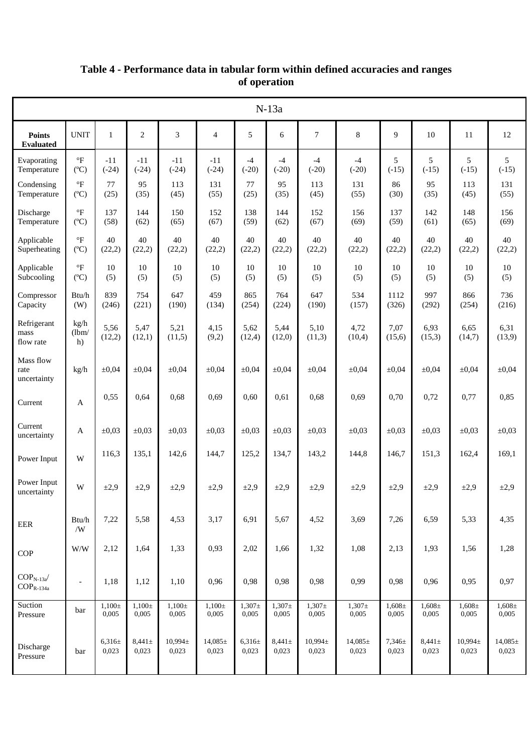|                                                             |                                            |                      |                      |                       |                       |                      | $N-13a$              |                     |                       |                      |                      |                       |                       |
|-------------------------------------------------------------|--------------------------------------------|----------------------|----------------------|-----------------------|-----------------------|----------------------|----------------------|---------------------|-----------------------|----------------------|----------------------|-----------------------|-----------------------|
| <b>Points</b><br><b>Evaluated</b>                           | <b>UNIT</b>                                | 1                    | $\overline{c}$       | 3                     | $\overline{4}$        | 5                    | 6                    | $\tau$              | 8                     | 9                    | 10                   | 11                    | 12                    |
| Evaporating<br>Temperature                                  | $\,{}^{\circ}\mathrm{F}$<br>$(^{\circ}C)$  | $-11$<br>$(-24)$     | $-11$<br>$(-24)$     | $-11$<br>$(-24)$      | $-11$<br>$(-24)$      | $-4$<br>$(-20)$      | $-4$<br>$(-20)$      | $-4$<br>$(-20)$     | $-4$<br>$(-20)$       | 5<br>$(-15)$         | 5<br>$(-15)$         | 5<br>$(-15)$          | 5<br>$(-15)$          |
| Condensing<br>Temperature                                   | $\mathrm{P}$<br>$(C^{\circ}C)$             | 77<br>(25)           | 95<br>(35)           | 113<br>(45)           | 131<br>(55)           | 77<br>(25)           | 95<br>(35)           | 113<br>(45)         | 131<br>(55)           | 86<br>(30)           | 95<br>(35)           | 113<br>(45)           | 131<br>(55)           |
| Discharge<br>Temperature                                    | $\,{}^{\circ}\mathrm{F}$<br>$(C^{\circ}C)$ | 137<br>(58)          | 144<br>(62)          | 150<br>(65)           | 152<br>(67)           | 138<br>(59)          | 144<br>(62)          | 152<br>(67)         | 156<br>(69)           | 137<br>(59)          | 142<br>(61)          | 148<br>(65)           | 156<br>(69)           |
| Applicable<br>Superheating                                  | $\circ$ F<br>$(^{\circ}C)$                 | 40<br>(22,2)         | 40<br>(22,2)         | 40<br>(22,2)          | 40<br>(22,2)          | 40<br>(22,2)         | 40<br>(22,2)         | 40<br>(22,2)        | 40<br>(22,2)          | 40<br>(22,2)         | 40<br>(22,2)         | 40<br>(22,2)          | 40<br>(22,2)          |
| Applicable<br>Subcooling                                    | $\,{}^{\circ}\mathrm{F}$<br>$(C^{\circ}C)$ | 10<br>(5)            | 10<br>(5)            | 10<br>(5)             | 10<br>(5)             | 10<br>(5)            | 10<br>(5)            | 10<br>(5)           | 10<br>(5)             | 10<br>(5)            | 10<br>(5)            | 10<br>(5)             | $10\,$<br>(5)         |
| Compressor<br>Capacity                                      | Btu/h<br>(W)                               | 839<br>(246)         | 754<br>(221)         | 647<br>(190)          | 459<br>(134)          | 865<br>(254)         | 764<br>(224)         | 647<br>(190)        | 534<br>(157)          | 1112<br>(326)        | 997<br>(292)         | 866<br>(254)          | 736<br>(216)          |
| Refrigerant<br>mass<br>flow rate                            | kg/h<br>(lbm)<br>h)                        | 5,56<br>(12,2)       | 5,47<br>(12,1)       | 5,21<br>(11,5)        | 4,15<br>(9,2)         | 5,62<br>(12,4)       | 5,44<br>(12,0)       | 5,10<br>(11,3)      | 4,72<br>(10,4)        | 7,07<br>(15,6)       | 6,93<br>(15,3)       | 6,65<br>(14,7)        | 6,31<br>(13,9)        |
| Mass flow<br>rate<br>uncertainty                            | kg/h                                       | $\pm 0,04$           | $\pm 0,04$           | $\pm 0.04$            | $\pm 0.04$            | $\pm 0,04$           | $\pm 0.04$           | $\pm 0.04$          | $\pm 0,04$            | $\pm 0,04$           | $\pm 0.04$           | $\pm 0,04$            | $\pm 0,04$            |
| Current                                                     | A                                          | 0,55                 | 0,64                 | 0,68                  | 0,69                  | 0,60                 | 0.61                 | 0,68                | 0,69                  | 0,70                 | 0,72                 | 0,77                  | 0,85                  |
| Current<br>uncertainty                                      | A                                          | $\pm 0.03$           | $\pm 0.03$           | $\pm 0.03$            | $\pm 0.03$            | $\pm 0.03$           | $\pm 0.03$           | $\pm 0.03$          | $\pm 0.03$            | $\pm 0.03$           | $\pm 0.03$           | $\pm 0.03$            | $\pm 0.03$            |
| Power Input                                                 | W                                          | 116,3                | 135,1                | 142,6                 | 144,7                 | 125,2                | 134,7                | 143,2               | 144,8                 | 146,7                | 151,3                | 162,4                 | 169,1                 |
| Power Input<br>uncertainty                                  | W                                          | $\pm 2,9$            | $\pm 2.9$            | $\pm 2.9$             | $\pm 2,9$             | $\pm 2.9$            | $\pm 2,9$            | $\pm 2,9$           | $\pm 2.9$             | $\pm 2.9$            | $\pm 2,9$            | $\pm 2.9$             | $\pm 2,9$             |
| EER                                                         | Btu/h<br>/W                                | 7,22                 | 5,58                 | 4,53                  | 3,17                  | 6,91                 | 5,67                 | 4,52                | 3,69                  | 7,26                 | 6,59                 | 5,33                  | 4,35                  |
| COP                                                         | W/W                                        | 2,12                 | 1,64                 | 1,33                  | 0,93                  | 2,02                 | 1,66                 | 1,32                | 1,08                  | 2,13                 | 1,93                 | 1,56                  | 1,28                  |
| $\mbox{COP}_\mathrm{N-13a}$<br>$\text{COP}_{\text{R-134a}}$ | $\overline{\phantom{a}}$                   | 1,18                 | 1,12                 | 1,10                  | 0,96                  | 0,98                 | 0,98                 | 0,98                | 0,99                  | 0,98                 | 0,96                 | 0,95                  | 0,97                  |
| Suction<br>Pressure                                         | bar                                        | $1,100 \pm$<br>0,005 | $1,100 \pm$<br>0,005 | $1,100\pm$<br>0,005   | $1,100 \pm$<br>0,005  | $1,307\pm$<br>0,005  | $1,307\pm$<br>0,005  | $1,307\pm$<br>0,005 | $1,307\pm$<br>0,005   | $1,608 \pm$<br>0,005 | $1,608 \pm$<br>0,005 | $1,608 \pm$<br>0,005  | $1,608 \pm$<br>0,005  |
| Discharge<br>Pressure                                       | bar                                        | $6,316\pm$<br>0,023  | $8,441 \pm$<br>0,023 | $10,994 \pm$<br>0,023 | $14,085 \pm$<br>0,023 | $6,316 \pm$<br>0,023 | $8,441 \pm$<br>0,023 | 10,994±<br>0,023    | $14,085 \pm$<br>0,023 | $7,346 \pm$<br>0,023 | $8,441 \pm$<br>0,023 | $10,994 \pm$<br>0,023 | $14,085 \pm$<br>0,023 |

## **Table 4 - Performance data in tabular form within defined accuracies and ranges of operation**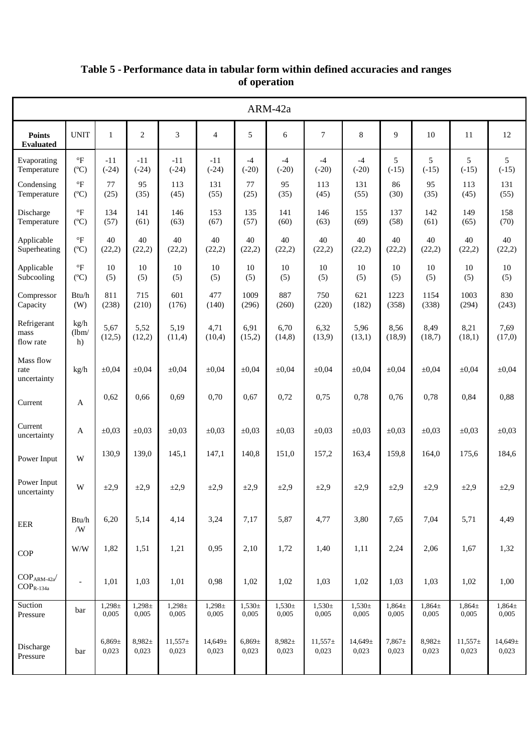|                                                                |                                         |                      |                      |                      |                      |                     | ARM-42a              |                      |                     |                      |                      |                      |                     |
|----------------------------------------------------------------|-----------------------------------------|----------------------|----------------------|----------------------|----------------------|---------------------|----------------------|----------------------|---------------------|----------------------|----------------------|----------------------|---------------------|
| <b>Points</b><br><b>Evaluated</b>                              | <b>UNIT</b>                             | $\mathbf{1}$         | $\overline{2}$       | 3                    | $\overline{4}$       | 5                   | 6                    | $\overline{7}$       | $\,$ 8 $\,$         | 9                    | 10                   | 11                   | 12                  |
| Evaporating<br>Temperature                                     | $\,{}^{\circ}\!F$<br>$(C^{\circ}C)$     | $-11$<br>$(-24)$     | $-11$<br>$(-24)$     | $-11$<br>$(-24)$     | $-11$<br>$(-24)$     | $-4$<br>$(-20)$     | $-4$<br>$(-20)$      | $-4$<br>$(-20)$      | $-4$<br>$(-20)$     | 5<br>$(-15)$         | 5<br>$(-15)$         | 5<br>$(-15)$         | 5<br>$(-15)$        |
| Condensing<br>Temperature                                      | $\mathrm{P}$<br>$(C^{\circ}C)$          | 77<br>(25)           | 95<br>(35)           | 113<br>(45)          | 131<br>(55)          | 77<br>(25)          | 95<br>(35)           | 113<br>(45)          | 131<br>(55)         | 86<br>(30)           | 95<br>(35)           | 113<br>(45)          | 131<br>(55)         |
| Discharge<br>Temperature                                       | $\mathrm{P}$<br>$(C^{\circ}C)$          | 134<br>(57)          | 141<br>(61)          | 146<br>(63)          | 153<br>(67)          | 135<br>(57)         | 141<br>(60)          | 146<br>(63)          | 155<br>(69)         | 137<br>(58)          | 142<br>(61)          | 149<br>(65)          | 158<br>(70)         |
| Applicable<br>Superheating                                     | $\circ$ F<br>$(C^{\circ}C)$             | 40<br>(22,2)         | 40<br>(22,2)         | 40<br>(22,2)         | 40<br>(22,2)         | 40<br>(22,2)        | 40<br>(22,2)         | 40<br>(22,2)         | 40<br>(22,2)        | 40<br>(22,2)         | 40<br>(22,2)         | 40<br>(22,2)         | 40<br>(22,2)        |
| Applicable<br>Subcooling                                       | $\mathrm{^{\circ}F}$<br>$(^{\circ}C)$   | 10<br>(5)            | 10<br>(5)            | 10<br>(5)            | 10<br>(5)            | 10<br>(5)           | 10<br>(5)            | 10<br>(5)            | 10<br>(5)           | 10<br>(5)            | 10<br>(5)            | 10<br>(5)            | 10<br>(5)           |
| Compressor<br>Capacity                                         | Btu/h<br>(W)                            | 811<br>(238)         | 715<br>(210)         | 601<br>(176)         | 477<br>(140)         | 1009<br>(296)       | 887<br>(260)         | 750<br>(220)         | 621<br>(182)        | 1223<br>(358)        | 1154<br>(338)        | 1003<br>(294)        | 830<br>(243)        |
| Refrigerant<br>mass<br>flow rate                               | kg/h<br>(lbm)<br>h)                     | 5,67<br>(12,5)       | 5,52<br>(12,2)       | 5,19<br>(11,4)       | 4,71<br>(10,4)       | 6,91<br>(15,2)      | 6,70<br>(14, 8)      | 6,32<br>(13,9)       | 5,96<br>(13,1)      | 8,56<br>(18,9)       | 8,49<br>(18,7)       | 8,21<br>(18,1)       | 7,69<br>(17,0)      |
| Mass flow<br>rate<br>uncertainty                               | kg/h                                    | $\pm 0.04$           | $\pm 0.04$           | $\pm 0.04$           | $\pm 0.04$           | $\pm 0.04$          | $\pm 0.04$           | $\pm 0.04$           | $\pm 0.04$          | $\pm 0.04$           | $\pm 0.04$           | $\pm 0.04$           | $\pm 0.04$          |
| Current                                                        | A                                       | 0,62                 | 0,66                 | 0,69                 | 0,70                 | 0,67                | 0,72                 | 0,75                 | 0,78                | 0,76                 | 0,78                 | 0,84                 | 0,88                |
| Current<br>uncertainty                                         | A                                       | $\pm 0.03$           | $\pm 0.03$           | $\pm 0.03$           | $\pm 0.03$           | $\pm 0.03$          | $\pm 0.03$           | $\pm 0.03$           | $\pm 0.03$          | $\pm 0.03$           | $\pm 0.03$           | $\pm 0.03$           | $\pm 0.03$          |
| Power Input                                                    | W                                       | 130,9                | 139,0                | 145,1                | 147,1                | 140,8               | 151,0                | 157,2                | 163,4               | 159,8                | 164,0                | 175,6                | 184,6               |
| Power Input<br>uncertainty                                     | W                                       | $\pm 2,9$            | $\pm 2.9$            | $\pm 2,9$            | $\pm 2,9$            | $\pm 2.9$           | $\pm 2,9$            | $\pm 2,9$            | $\pm 2.9$           | $\pm 2.9$            | $\pm 2.9$            | $\pm 2.9$            | $\pm 2,9$           |
| EER                                                            | $\mathbf{Btu}/\mathbf{h}$<br>$\sqrt{W}$ | 6,20                 | 5,14                 | 4,14                 | 3,24                 | 7,17                | 5,87                 | 4,77                 | 3,80                | 7,65                 | 7,04                 | 5,71                 | 4,49                |
| COP                                                            | W/W                                     | 1,82                 | 1,51                 | 1,21                 | 0,95                 | 2,10                | 1,72                 | 1,40                 | 1,11                | 2,24                 | 2,06                 | 1,67                 | 1,32                |
| $\text{COP}_\text{ARM-42a}{}'$<br>$\text{COP}_{\text{R-134a}}$ | $\overline{\phantom{a}}$                | 1,01                 | 1,03                 | 1,01                 | 0,98                 | 1,02                | 1,02                 | 1,03                 | 1,02                | 1,03                 | 1,03                 | 1,02                 | 1,00                |
| Suction<br>Pressure                                            | bar                                     | $1,298 \pm$<br>0,005 | $1,298 \pm$<br>0,005 | $1,298 \pm$<br>0,005 | $1,298 \pm$<br>0,005 | $1,530\pm$<br>0,005 | $1,530\pm$<br>0,005  | $1,530\pm$<br>0,005  | $1,530\pm$<br>0,005 | $1,864\pm$<br>0,005  | $1,864\pm$<br>0,005  | $1,864\pm$<br>0,005  | $1,864\pm$<br>0,005 |
| Discharge<br>Pressure                                          | bar                                     | $6,869\pm$<br>0,023  | $8,982 \pm$<br>0,023 | $11,557\pm$<br>0,023 | 14,649±<br>0,023     | $6,869\pm$<br>0,023 | $8,982 \pm$<br>0,023 | $11,557\pm$<br>0,023 | 14,649±<br>0,023    | $7,867 \pm$<br>0,023 | $8,982 \pm$<br>0,023 | $11,557\pm$<br>0,023 | 14,649±<br>0,023    |

## **Table 5 - Performance data in tabular form within defined accuracies and ranges of operation**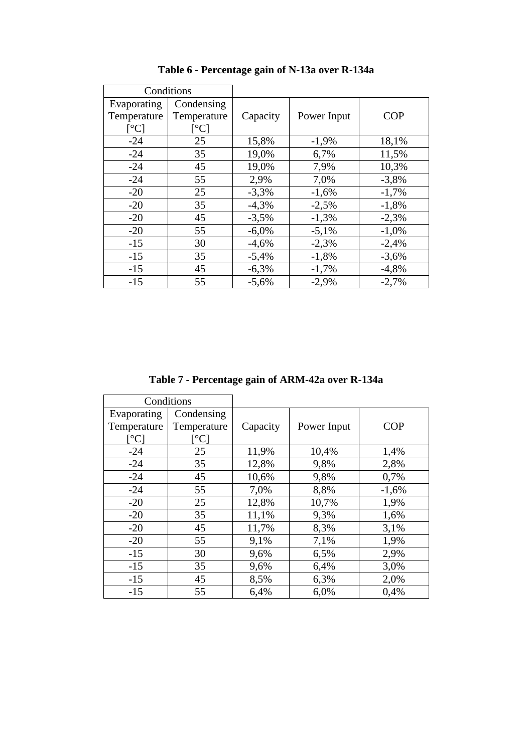|                                                        | Conditions                                                  |          |             |            |
|--------------------------------------------------------|-------------------------------------------------------------|----------|-------------|------------|
| Evaporating<br>Temperature<br>$\lceil$ <sup>o</sup> Cl | Condensing<br>Temperature<br>$\lceil{^\circ}\text{C}\rceil$ | Capacity | Power Input | <b>COP</b> |
| $-24$                                                  | 25                                                          | 15,8%    | $-1,9%$     | 18,1%      |
| $-24$                                                  | 35                                                          | 19,0%    | 6,7%        | 11,5%      |
| $-24$                                                  | 45                                                          | 19,0%    | 7,9%        | 10,3%      |
| $-24$                                                  | 55                                                          | 2,9%     | 7,0%        | $-3,8%$    |
| $-20$                                                  | 25                                                          | $-3,3%$  | $-1,6%$     | $-1,7%$    |
| $-20$                                                  | 35                                                          | $-4,3%$  | $-2,5%$     | $-1,8%$    |
| $-20$                                                  | 45                                                          | $-3,5%$  | $-1,3%$     | $-2,3%$    |
| $-20$                                                  | 55                                                          | $-6,0%$  | $-5,1%$     | $-1,0\%$   |
| $-15$                                                  | 30                                                          | $-4,6%$  | $-2,3%$     | $-2,4%$    |
| $-15$                                                  | 35                                                          | $-5,4%$  | $-1,8%$     | $-3,6%$    |
| $-15$                                                  | 45                                                          | $-6,3%$  | $-1,7%$     | $-4,8%$    |
| $-15$                                                  | 55                                                          | $-5,6%$  | $-2,9%$     | $-2,7%$    |

**Table 6 - Percentage gain of N-13a over R-134a** 

**Table 7 - Percentage gain of ARM-42a over R-134a** 

|                                | Conditions        |          |             |            |
|--------------------------------|-------------------|----------|-------------|------------|
| Evaporating                    | Condensing        |          |             |            |
| Temperature                    | Temperature       | Capacity | Power Input | <b>COP</b> |
| $\lceil{^\circ}\text{C}\rceil$ | $\rm ^{\circ}C$ ] |          |             |            |
| $-24$                          | 25                | 11,9%    | 10,4%       | 1,4%       |
| $-24$                          | 35                | 12,8%    | 9,8%        | 2,8%       |
| $-24$                          | 45                | 10,6%    | 9,8%        | 0,7%       |
| $-24$                          | 55                | 7,0%     | 8,8%        | $-1,6%$    |
| $-20$                          | 25                | 12,8%    | 10,7%       | 1,9%       |
| $-20$                          | 35                | 11,1%    | 9,3%        | 1,6%       |
| $-20$                          | 45                | 11,7%    | 8,3%        | 3,1%       |
| $-20$                          | 55                | 9,1%     | 7,1%        | 1,9%       |
| $-15$                          | 30                | 9,6%     | 6,5%        | 2,9%       |
| $-15$                          | 35                | 9,6%     | 6,4%        | 3,0%       |
| $-15$                          | 45                | 8,5%     | 6,3%        | 2,0%       |
| $-15$                          | 55                | 6,4%     | 6,0%        | 0.4%       |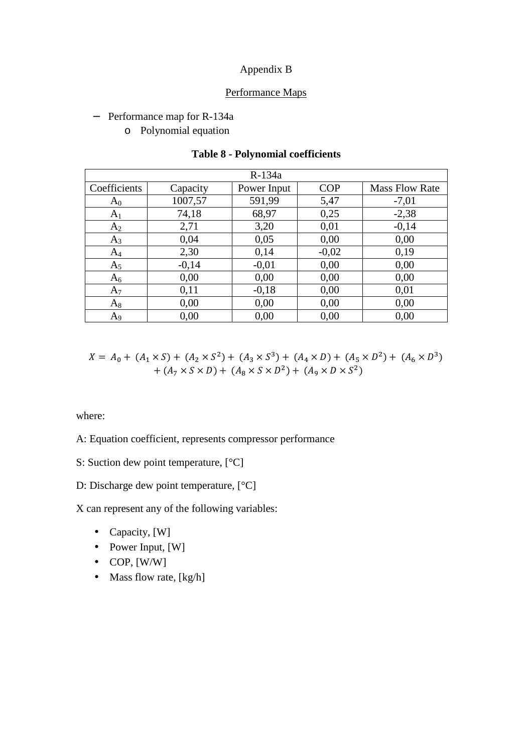# Appendix B

#### Performance Maps

#### − Performance map for R-134a

o Polynomial equation

|                |          | $R-134a$    |            |                       |
|----------------|----------|-------------|------------|-----------------------|
| Coefficients   | Capacity | Power Input | <b>COP</b> | <b>Mass Flow Rate</b> |
| $A_0$          | 1007,57  | 591,99      | 5,47       | $-7,01$               |
| A <sub>1</sub> | 74,18    | 68,97       | 0,25       | $-2,38$               |
| A <sub>2</sub> | 2,71     | 3,20        | 0,01       | $-0,14$               |
| $A_3$          | 0,04     | 0,05        | 0,00       | 0,00                  |
| $A_4$          | 2,30     | 0,14        | $-0,02$    | 0,19                  |
| $A_5$          | $-0,14$  | $-0,01$     | 0,00       | 0,00                  |
| $A_6$          | 0,00     | 0,00        | 0,00       | 0,00                  |
| $A_7$          | 0,11     | $-0,18$     | 0,00       | 0,01                  |
| $A_8$          | 0,00     | 0,00        | 0,00       | 0,00                  |
| A <sub>9</sub> | 0,00     | 0,00        | 0,00       | 0,00                  |

# **Table 8 - Polynomial coefficients**

$$
X = A_0 + (A_1 \times S) + (A_2 \times S^2) + (A_3 \times S^3) + (A_4 \times D) + (A_5 \times D^2) + (A_6 \times D^3) + (A_7 \times S \times D) + (A_8 \times S \times D^2) + (A_9 \times D \times S^2)
$$

where:

A: Equation coefficient, represents compressor performance

S: Suction dew point temperature, [°C]

# D: Discharge dew point temperature, [°C]

X can represent any of the following variables:

- Capacity, [W]
- Power Input, [W]
- $\bullet$  COP, [W/W]
- Mass flow rate, [kg/h]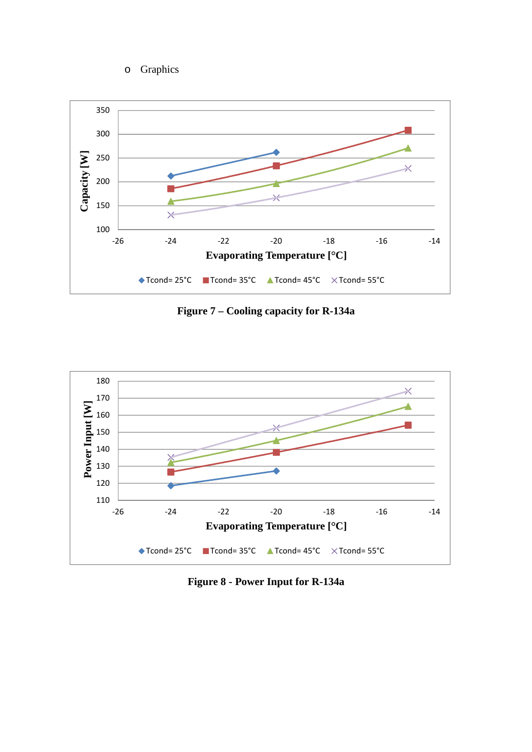o Graphics



**Figure 7 – Cooling capacity for R-134a** 



**Figure 8 - Power Input for R-134a**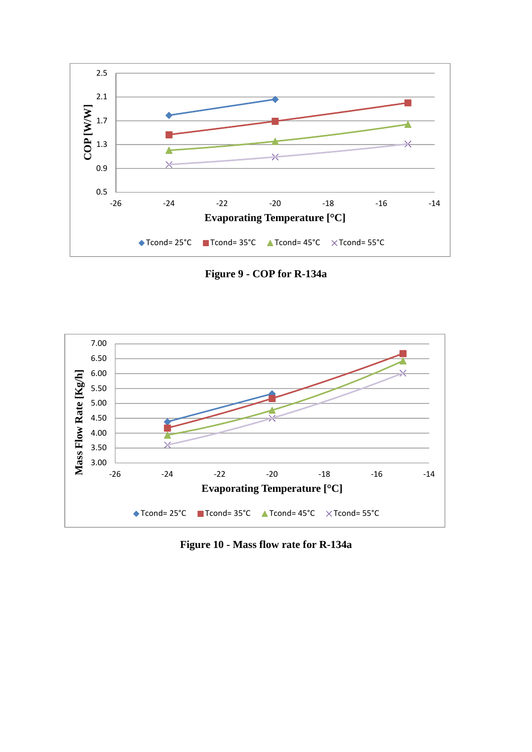

**Figure 9 - COP for R-134a** 



**Figure 10 - Mass flow rate for R-134a**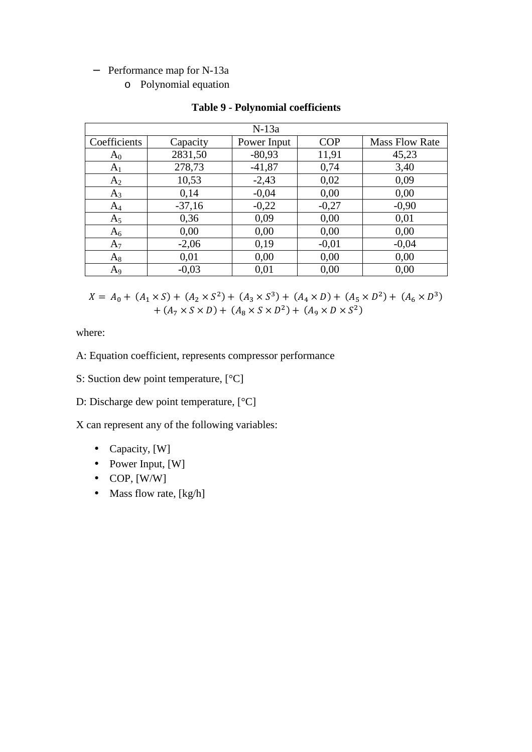### − Performance map for N-13a

o Polynomial equation

|                |          | $N-13a$     |            |                       |
|----------------|----------|-------------|------------|-----------------------|
| Coefficients   | Capacity | Power Input | <b>COP</b> | <b>Mass Flow Rate</b> |
| $A_0$          | 2831,50  | $-80,93$    | 11,91      | 45,23                 |
| A <sub>1</sub> | 278,73   | $-41,87$    | 0,74       | 3,40                  |
| A <sub>2</sub> | 10,53    | $-2,43$     | 0,02       | 0,09                  |
| $A_3$          | 0,14     | $-0,04$     | 0,00       | 0,00                  |
| $A_4$          | $-37,16$ | $-0,22$     | $-0,27$    | $-0,90$               |
| A <sub>5</sub> | 0,36     | 0,09        | 0,00       | 0,01                  |
| $A_6$          | 0,00     | 0,00        | 0,00       | 0,00                  |
| $A_7$          | $-2,06$  | 0,19        | $-0.01$    | $-0,04$               |
| $A_8$          | 0,01     | 0,00        | 0,00       | 0,00                  |
| A <sub>9</sub> | $-0,03$  | 0,01        | 0,00       | 0,00                  |

### **Table 9 - Polynomial coefficients**

 $X = A_0 + (A_1 \times S) + (A_2 \times S^2) + (A_3 \times S^3) + (A_4 \times D) + (A_5 \times D^2) + (A_6 \times D^3)$ +  $(A_7 \times S \times D)$  +  $(A_8 \times S \times D^2)$  +  $(A_9 \times D \times S^2)$ 

where:

- A: Equation coefficient, represents compressor performance
- S: Suction dew point temperature, [°C]
- D: Discharge dew point temperature,  $[°C]$

X can represent any of the following variables:

- Capacity, [W]
- Power Input, [W]
- $\bullet$  COP, [W/W]
- Mass flow rate,  $[kg/h]$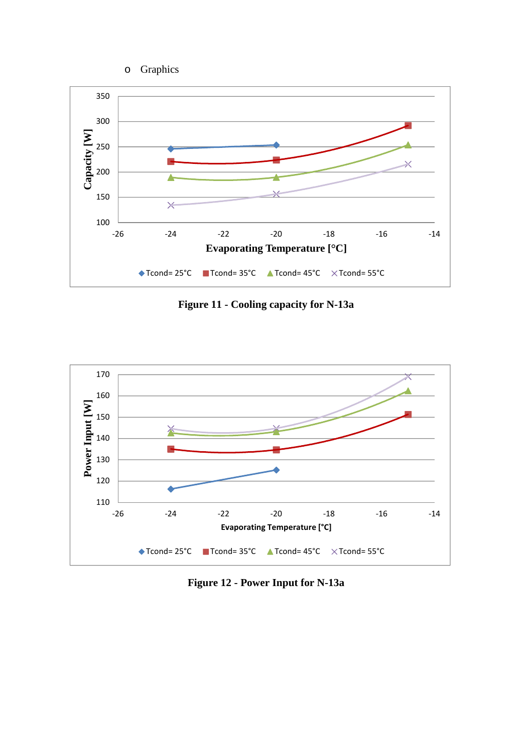o Graphics



**Figure 11 - Cooling capacity for N-13a** 



**Figure 12 - Power Input for N-13a**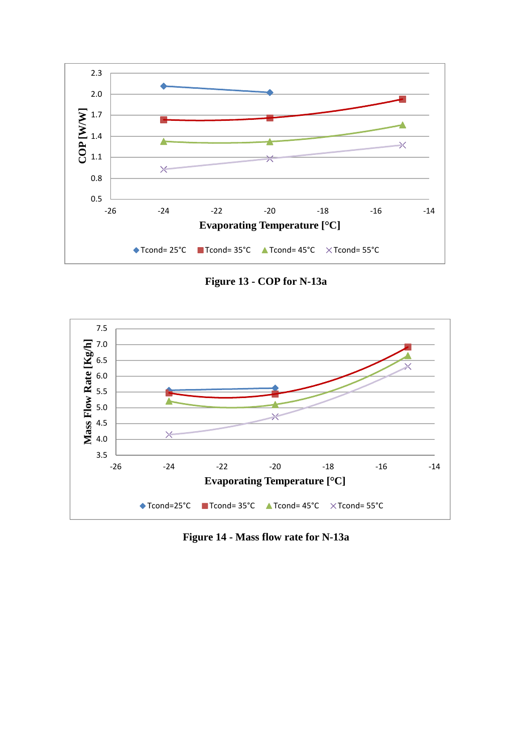

**Figure 13 - COP for N-13a** 



**Figure 14 - Mass flow rate for N-13a**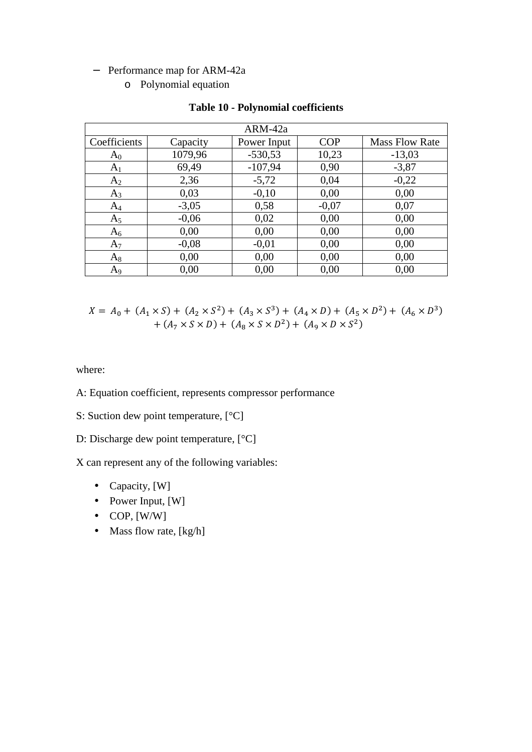# − Performance map for ARM-42a

o Polynomial equation

|                |          | ARM-42a     |            |                       |
|----------------|----------|-------------|------------|-----------------------|
| Coefficients   | Capacity | Power Input | <b>COP</b> | <b>Mass Flow Rate</b> |
| $A_0$          | 1079,96  | $-530,53$   | 10,23      | $-13,03$              |
| A <sub>1</sub> | 69,49    | $-107,94$   | 0,90       | $-3,87$               |
| A <sub>2</sub> | 2,36     | $-5,72$     | 0,04       | $-0,22$               |
| $A_3$          | 0,03     | $-0,10$     | 0,00       | 0,00                  |
| $A_4$          | $-3,05$  | 0,58        | $-0,07$    | 0,07                  |
| A <sub>5</sub> | $-0.06$  | 0,02        | 0,00       | 0,00                  |
| $A_6$          | 0,00     | 0,00        | 0,00       | 0,00                  |
| $A_7$          | $-0.08$  | $-0.01$     | 0,00       | 0,00                  |
| $A_8$          | 0,00     | 0,00        | 0,00       | 0,00                  |
| $A_9$          | 0,00     | 0,00        | 0,00       | 0,00                  |

# **Table 10 - Polynomial coefficients**

$$
X = A_0 + (A_1 \times S) + (A_2 \times S^2) + (A_3 \times S^3) + (A_4 \times D) + (A_5 \times D^2) + (A_6 \times D^3) + (A_7 \times S \times D) + (A_8 \times S \times D^2) + (A_9 \times D \times S^2)
$$

where:

- A: Equation coefficient, represents compressor performance
- S: Suction dew point temperature, [°C]

D: Discharge dew point temperature, [°C]

X can represent any of the following variables:

- Capacity, [W]
- Power Input, [W]
- $\bullet$  COP, [W/W]
- Mass flow rate, [kg/h]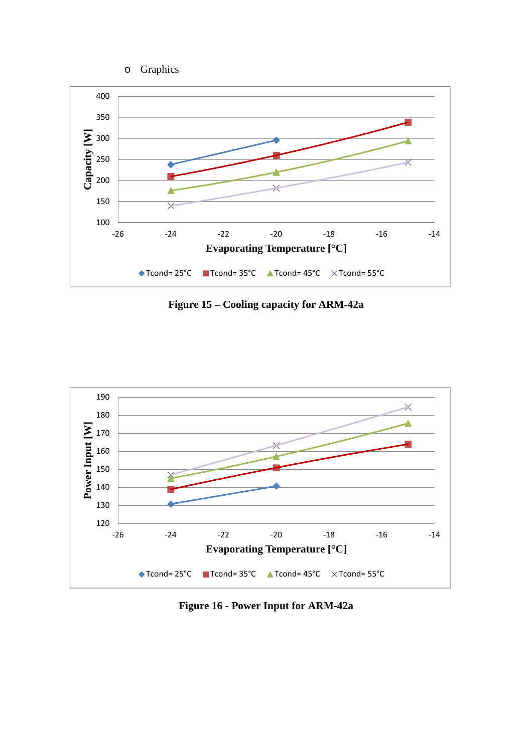o Graphics



**Figure 15 – Cooling capacity for ARM-42a** 



**Figure 16 - Power Input for ARM-42a**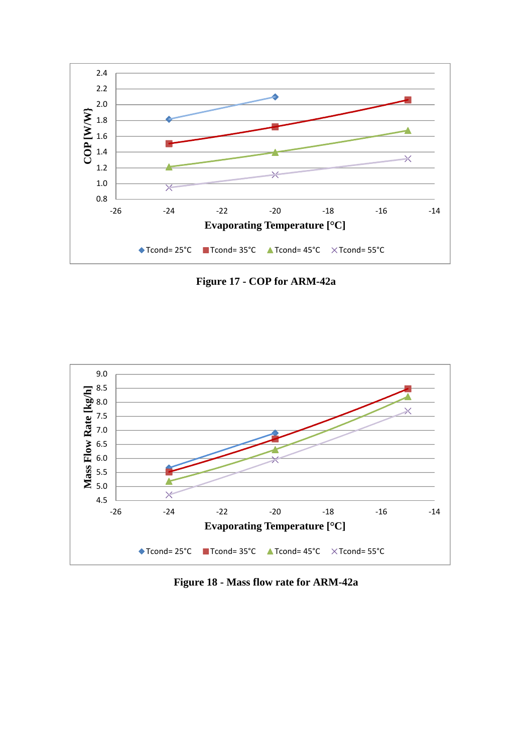

**Figure 17 - COP for ARM-42a** 



**Figure 18 - Mass flow rate for ARM-42a**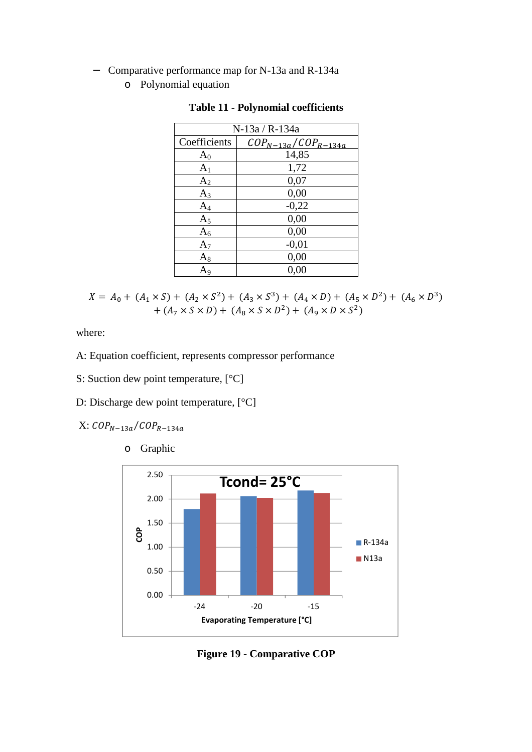- − Comparative performance map for N-13a and R-134a
	- o Polynomial equation

|                | N-13a / R-134a                               |
|----------------|----------------------------------------------|
| Coefficients   | $\textit{COP}_{N-13a}/\textit{COP}_{R-134a}$ |
| $A_0$          | 14,85                                        |
| A <sub>1</sub> | 1,72                                         |
| A <sub>2</sub> | 0,07                                         |
| $A_3$          | 0,00                                         |
| $\rm A_4$      | $-0,22$                                      |
| $A_5$          | 0,00                                         |
| $A_6$          | 0,00                                         |
| $A_7$          | $-0,01$                                      |
| $\rm A_8$      | 0,00                                         |
| A9             | 0,00                                         |

**Table 11 - Polynomial coefficients** 

$$
X = A_0 + (A_1 \times S) + (A_2 \times S^2) + (A_3 \times S^3) + (A_4 \times D) + (A_5 \times D^2) + (A_6 \times D^3) + (A_7 \times S \times D) + (A_8 \times S \times D^2) + (A_9 \times D \times S^2)
$$

where:

- A: Equation coefficient, represents compressor performance
- S: Suction dew point temperature, [°C]
- D: Discharge dew point temperature, [°C]
- $X: \mathit{COP}_{N-13a}/\mathit{COP}_{R-134a}$ 
	- o Graphic



**Figure 19 - Comparative COP**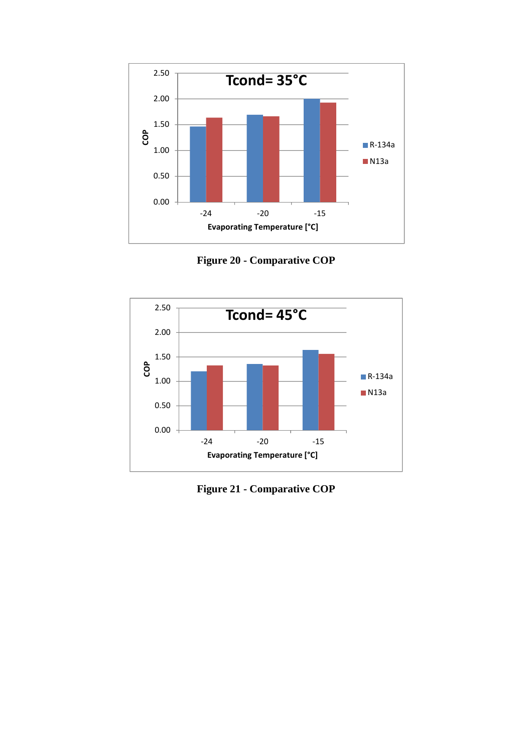

**Figure 20 - Comparative COP** 



**Figure 21 - Comparative COP**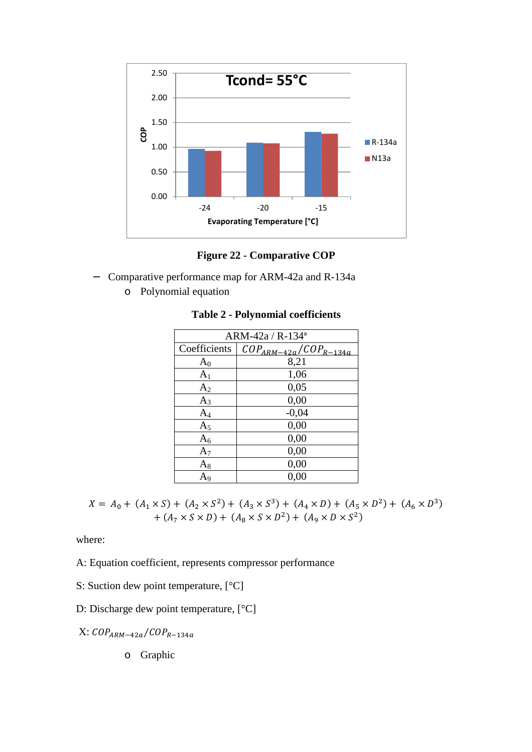

**Figure 22 - Comparative COP** 

- − Comparative performance map for ARM-42a and R-134a
	- o Polynomial equation

| ARM-42a / R-134 <sup>a</sup> |                              |
|------------------------------|------------------------------|
| Coefficients                 | $COP_{ARM-42a}/COP_{R-134a}$ |
| $A_0$                        | 8,21                         |
| A <sub>1</sub>               | 1,06                         |
| A <sub>2</sub>               | 0,05                         |
| $A_3$                        | 0,00                         |
| $A_4$                        | $-0,04$                      |
| A <sub>5</sub>               | 0,00                         |
| $A_6$                        | 0,00                         |
| $A_7$                        | 0,00                         |
| $\rm A_8$                    | 0,00                         |
| A9                           | 0,00                         |

**Table 2 - Polynomial coefficients** 

 $X = A_0 + (A_1 \times S) + (A_2 \times S^2) + (A_3 \times S^3) + (A_4 \times D) + (A_5 \times D^2) + (A_6 \times D^3)$  $+ (A_7 \times S \times D) + (A_8 \times S \times D^2) + (A_9 \times D \times S^2)$ 

where:

A: Equation coefficient, represents compressor performance

- S: Suction dew point temperature, [°C]
- D: Discharge dew point temperature, [°C]
- $X: \mathit{COP}_{ARM-42a}/\mathit{COP}_{R-134a}$ 
	- o Graphic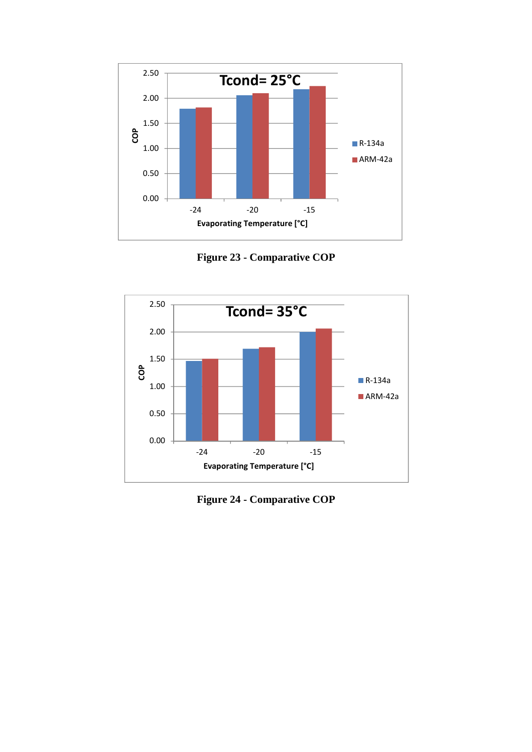

**Figure 23 - Comparative COP** 



**Figure 24 - Comparative COP**